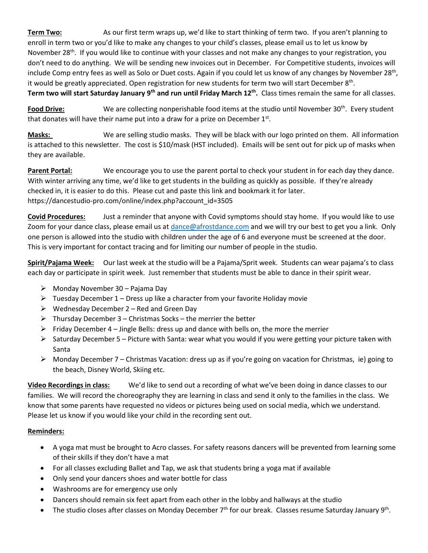**Term Two:** As our first term wraps up, we'd like to start thinking of term two. If you aren't planning to enroll in term two or you'd like to make any changes to your child's classes, please email us to let us know by November 28<sup>th</sup>. If you would like to continue with your classes and not make any changes to your registration, you don't need to do anything. We will be sending new invoices out in December. For Competitive students, invoices will include Comp entry fees as well as Solo or Duet costs. Again if you could let us know of any changes by November 28<sup>th</sup>, it would be greatly appreciated. Open registration for new students for term two will start December  $8<sup>th</sup>$ . **Term two will start Saturday January 9th and run until Friday March 12th .** Class times remain the same for all classes.

Food Drive: We are collecting nonperishable food items at the studio until November 30<sup>th</sup>. Every student that donates will have their name put into a draw for a prize on December  $1<sup>st</sup>$ .

**Masks:** We are selling studio masks. They will be black with our logo printed on them. All information is attached to this newsletter. The cost is \$10/mask (HST included). Emails will be sent out for pick up of masks when they are available.

**Parent Portal:** We encourage you to use the parent portal to check your student in for each day they dance. With winter arriving any time, we'd like to get students in the building as quickly as possible. If they're already checked in, it is easier to do this. Please cut and paste this link and bookmark it for later. https://dancestudio-pro.com/online/index.php?account\_id=3505

**Covid Procedures:** Just a reminder that anyone with Covid symptoms should stay home. If you would like to use Zoom for your dance class, please email us at [dance@afrostdance.com](mailto:dance@afrostdance.com) and we will try our best to get you a link. Only one person is allowed into the studio with children under the age of 6 and everyone must be screened at the door. This is very important for contact tracing and for limiting our number of people in the studio.

**Spirit/Pajama Week:** Our last week at the studio will be a Pajama/Sprit week. Students can wear pajama's to class each day or participate in spirit week. Just remember that students must be able to dance in their spirit wear.

- $\triangleright$  Monday November 30 Pajama Day
- $\triangleright$  Tuesday December 1 Dress up like a character from your favorite Holiday movie
- $\triangleright$  Wednesday December 2 Red and Green Day
- $\triangleright$  Thursday December 3 Christmas Socks the merrier the better
- $\triangleright$  Friday December 4 Jingle Bells: dress up and dance with bells on, the more the merrier
- $\triangleright$  Saturday December 5 Picture with Santa: wear what you would if you were getting your picture taken with Santa
- $\triangleright$  Monday December 7 Christmas Vacation: dress up as if you're going on vacation for Christmas, ie) going to the beach, Disney World, Skiing etc.

**Video Recordings in class:** We'd like to send out a recording of what we've been doing in dance classes to our families. We will record the choreography they are learning in class and send it only to the families in the class. We know that some parents have requested no videos or pictures being used on social media, which we understand. Please let us know if you would like your child in the recording sent out.

## **Reminders:**

- A yoga mat must be brought to Acro classes. For safety reasons dancers will be prevented from learning some of their skills if they don't have a mat
- For all classes excluding Ballet and Tap, we ask that students bring a yoga mat if available
- Only send your dancers shoes and water bottle for class
- Washrooms are for emergency use only
- Dancers should remain six feet apart from each other in the lobby and hallways at the studio
- The studio closes after classes on Monday December  $7<sup>th</sup>$  for our break. Classes resume Saturday January 9<sup>th</sup>.